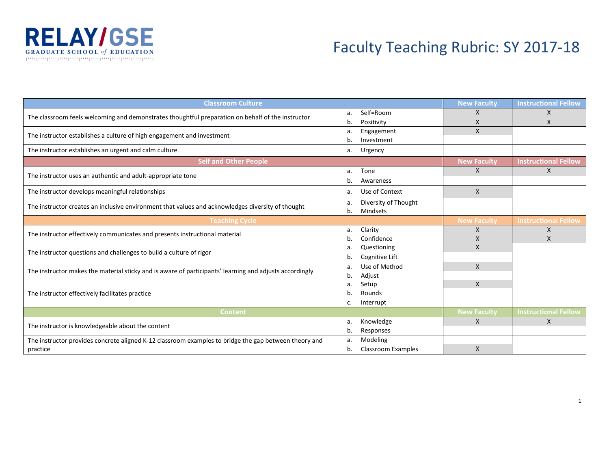

## Faculty Teaching Rubric: SY 2017-18

| <b>Classroom Culture</b>                                                                                | <b>New Faculty</b> | <b>Instructional Fellow</b> |                    |                             |
|---------------------------------------------------------------------------------------------------------|--------------------|-----------------------------|--------------------|-----------------------------|
| The classroom feels welcoming and demonstrates thoughtful preparation on behalf of the instructor       | a.                 | Self=Room                   | X                  | $\mathsf{x}$                |
|                                                                                                         | b.                 | Positivity                  | X                  |                             |
| The instructor establishes a culture of high engagement and investment                                  | a.                 | Engagement                  | X                  |                             |
|                                                                                                         | b.                 | Investment                  |                    |                             |
| The instructor establishes an urgent and calm culture                                                   | а.                 | Urgency                     |                    |                             |
| <b>Self and Other People</b>                                                                            |                    |                             | <b>New Faculty</b> | <b>Instructional Fellow</b> |
|                                                                                                         | a.                 | Tone                        | $\mathsf{X}$       | $\mathsf{X}$                |
| The instructor uses an authentic and adult-appropriate tone                                             | b.                 | Awareness                   |                    |                             |
| The instructor develops meaningful relationships                                                        | Use of Context     | $\mathsf{X}$                |                    |                             |
|                                                                                                         |                    | Diversity of Thought        |                    |                             |
| The instructor creates an inclusive environment that values and acknowledges diversity of thought       | b.                 | Mindsets                    |                    |                             |
| <b>Teaching Cycle</b>                                                                                   | <b>New Faculty</b> | <b>Instructional Fellow</b> |                    |                             |
| The instructor effectively communicates and presents instructional material                             | a.                 | Clarity                     | X                  | X                           |
|                                                                                                         |                    | Confidence                  | X                  | X                           |
| The instructor questions and challenges to build a culture of rigor                                     | a.                 | Questioning                 | $\mathsf{x}$       |                             |
|                                                                                                         | b.                 | Cognitive Lift              |                    |                             |
| The instructor makes the material sticky and is aware of participants' learning and adjusts accordingly | a.                 | Use of Method               | $\mathsf{x}$       |                             |
|                                                                                                         | b.                 | Adjust                      |                    |                             |
|                                                                                                         |                    | Setup                       | X                  |                             |
| The instructor effectively facilitates practice                                                         |                    | Rounds                      |                    |                             |
|                                                                                                         | c.                 | Interrupt                   |                    |                             |
| <b>Content</b>                                                                                          |                    |                             | <b>New Faculty</b> | <b>Instructional Fellow</b> |
| The instructor is knowledgeable about the content                                                       |                    | Knowledge                   | $\mathsf{x}$       | $\mathsf{x}$                |
|                                                                                                         | b.                 | Responses                   |                    |                             |
| The instructor provides concrete aligned K-12 classroom examples to bridge the gap between theory and   | a.                 | Modeling                    |                    |                             |
| practice                                                                                                | b.                 | <b>Classroom Examples</b>   | $\mathsf{x}$       |                             |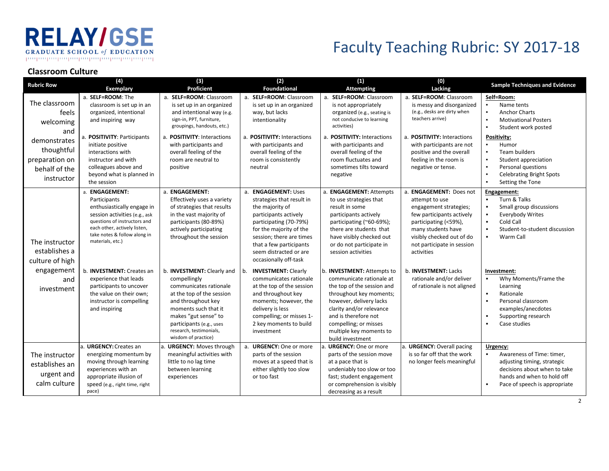### **RELAY/GSE GRADUATE SCHOOL of EDUCATION** րարարարարարարարարարարարարար

# Faculty Teaching Rubric: SY 2017-18

#### **Classroom Culture**

| <b>Rubric Row</b>                                                                                                         | (4)<br><b>Exemplary</b>                                                                                                                                                                                                                                           | $(3)$<br>Proficient                                                                                                                                                                                                                                              | (2)<br><b>Foundational</b>                                                                                                                                                                                                                                                        | (1)<br><b>Attempting</b>                                                                                                                                                                                                                                                  | (0)<br>Lacking                                                                                                                                                                                                                                  | <b>Sample Techniques and Evidence</b>                                                                                                                                                                                                                                                                                               |
|---------------------------------------------------------------------------------------------------------------------------|-------------------------------------------------------------------------------------------------------------------------------------------------------------------------------------------------------------------------------------------------------------------|------------------------------------------------------------------------------------------------------------------------------------------------------------------------------------------------------------------------------------------------------------------|-----------------------------------------------------------------------------------------------------------------------------------------------------------------------------------------------------------------------------------------------------------------------------------|---------------------------------------------------------------------------------------------------------------------------------------------------------------------------------------------------------------------------------------------------------------------------|-------------------------------------------------------------------------------------------------------------------------------------------------------------------------------------------------------------------------------------------------|-------------------------------------------------------------------------------------------------------------------------------------------------------------------------------------------------------------------------------------------------------------------------------------------------------------------------------------|
| The classroom<br>feels<br>welcoming<br>and<br>demonstrates<br>thoughtful<br>preparation on<br>behalf of the<br>instructor | a. SELF=ROOM: The<br>classroom is set up in an<br>organized, intentional<br>and inspiring way<br>a. POSITIVITY: Participants<br>initiate positive<br>interactions with<br>instructor and with<br>colleagues above and<br>beyond what is planned in<br>the session | a. SELF=ROOM: Classroom<br>is set up in an organized<br>and intentional way (e.g.<br>sign-in, PPT, furniture,<br>groupings, handouts, etc.)<br>a. POSITIVITY: Interactions<br>with participants and<br>overall feeling of the<br>room are neutral to<br>positive | a. SELF=ROOM: Classroom<br>is set up in an organized<br>way, but lacks<br>intentionality<br>a. POSITIVITY: Interactions<br>with participants and<br>overall feeling of the<br>room is consistently<br>neutral                                                                     | a. SELF=ROOM: Classroom<br>is not appropriately<br>organized (e.g., seating is<br>not conducive to learning<br>activities)<br>a. POSITIVITY: Interactions<br>with participants and<br>overall feeling of the<br>room fluctuates and<br>sometimes tilts toward<br>negative | a. SELF=ROOM: Classroom<br>is messy and disorganized<br>(e.g., desks are dirty when<br>teachers arrive)<br>a. POSITIVITY: Interactions<br>with participants are not<br>positive and the overall<br>feeling in the room is<br>negative or tense. | Self=Room:<br>Name tents<br><b>Anchor Charts</b><br>$\blacksquare$<br><b>Motivational Posters</b><br>$\blacksquare$<br>Student work posted<br><b>Positivity:</b><br>Humor<br>Team builders<br>$\blacksquare$<br>Student appreciation<br>Personal questions<br>$\blacksquare$<br><b>Celebrating Bright Spots</b><br>Setting the Tone |
| The instructor<br>establishes a<br>culture of high                                                                        | a. ENGAGEMENT:<br>Participants<br>enthusiastically engage in<br>session activities (e.g., ask<br>questions of instructors and<br>each other, actively listen,<br>take notes & follow along in<br>materials, etc.)                                                 | a. ENGAGEMENT:<br>Effectively uses a variety<br>of strategies that results<br>in the vast majority of<br>participants (80-89%)<br>actively participating<br>throughout the session                                                                               | <b>ENGAGEMENT: Uses</b><br>a <sub>1</sub><br>strategies that result in<br>the majority of<br>participants actively<br>participating (70-79%)<br>for the majority of the<br>session; there are times<br>that a few participants<br>seem distracted or are<br>occasionally off-task | a. ENGAGEMENT: Attempts<br>to use strategies that<br>result in some<br>participants actively<br>participating (~60-69%);<br>there are students that<br>have visibly checked out<br>or do not participate in<br>session activities                                         | a. ENGAGEMENT: Does not<br>attempt to use<br>engagement strategies;<br>few participants actively<br>participating (<59%),<br>many students have<br>visibly checked out of do<br>not participate in session<br>activities                        | Engagement:<br>Turn & Talks<br>$\blacksquare$<br>Small group discussions<br><b>Everybody Writes</b><br>$\blacksquare$<br>Cold Call<br>Student-to-student discussion<br>$\blacksquare$<br>Warm Call<br>٠                                                                                                                             |
| engagement<br>and<br>investment                                                                                           | b. <b>INVESTMENT</b> : Creates an<br>experience that leads<br>participants to uncover<br>the value on their own;<br>instructor is compelling<br>and inspiring                                                                                                     | b. INVESTMENT: Clearly and<br>compellingly<br>communicates rationale<br>at the top of the session<br>and throughout key<br>moments such that it<br>makes "gut sense" to<br>participants (e.g., uses<br>research, testimonials,<br>wisdom of practice)            | <b>INVESTMENT: Clearly</b><br>communicates rationale<br>at the top of the session<br>and throughout key<br>moments; however, the<br>delivery is less<br>compelling; or misses 1-<br>2 key moments to build<br>investment                                                          | b. INVESTMENT: Attempts to<br>communicate rationale at<br>the top of the session and<br>throughout key moments;<br>however, delivery lacks<br>clarity and/or relevance<br>and is therefore not<br>compelling; or misses<br>multiple key moments to<br>build investment    | b. <b>INVESTMENT</b> : Lacks<br>rationale and/or deliver<br>of rationale is not aligned                                                                                                                                                         | Investment:<br>Why Moments/Frame the<br>$\blacksquare$<br>Learning<br>Rationale<br>$\blacksquare$<br>$\overline{\phantom{a}}$<br>Personal classroom<br>examples/anecdotes<br>Supporting research<br>$\blacksquare$<br>Case studies<br>$\blacksquare$                                                                                |
| The instructor<br>establishes an<br>urgent and<br>calm culture                                                            | URGENCY: Creates an<br>energizing momentum by<br>moving through learning<br>experiences with an<br>appropriate illusion of<br>speed (e.g., right time, right<br>pace)                                                                                             | a. URGENCY: Moves through<br>meaningful activities with<br>little to no lag time<br>between learning<br>experiences                                                                                                                                              | a. URGENCY: One or more<br>parts of the session<br>moves at a speed that is<br>either slightly too slow<br>or too fast                                                                                                                                                            | a. URGENCY: One or more<br>parts of the session move<br>at a pace that is<br>undeniably too slow or too<br>fast; student engagement<br>or comprehension is visibly<br>decreasing as a result                                                                              | a. URGENCY: Overall pacing<br>is so far off that the work<br>no longer feels meaningful                                                                                                                                                         | Urgency:<br>Awareness of Time: timer,<br>$\blacksquare$<br>adjusting timing, strategic<br>decisions about when to take<br>hands and when to hold off<br>Pace of speech is appropriate<br>$\blacksquare$                                                                                                                             |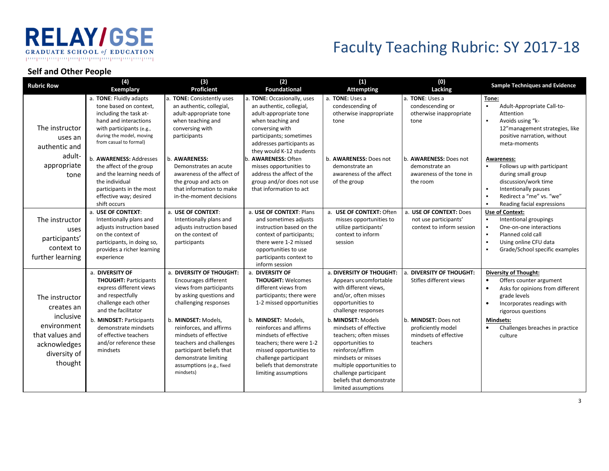#### **RELAY/GSE GRADUATE SCHOOL of EDUCATION** -րուղապապապապապապապապապապ

# Faculty Teaching Rubric: SY 2017-18

#### **Self and Other People**

| <b>Rubric Row</b>                                                                                                      | (4)<br><b>Exemplary</b>                                                                                                                                                                                                                                          | (3)<br>Proficient                                                                                                                                                                                                                                                                                                                  | (2)<br><b>Foundational</b>                                                                                                                                                                                                                                                                                                                | (1)<br><b>Attempting</b>                                                                                                                                                                                                                                                                                                                                                                      | (0)<br>Lacking                                                                                                                             | <b>Sample Techniques and Evidence</b>                                                                                                                                                                                                                             |
|------------------------------------------------------------------------------------------------------------------------|------------------------------------------------------------------------------------------------------------------------------------------------------------------------------------------------------------------------------------------------------------------|------------------------------------------------------------------------------------------------------------------------------------------------------------------------------------------------------------------------------------------------------------------------------------------------------------------------------------|-------------------------------------------------------------------------------------------------------------------------------------------------------------------------------------------------------------------------------------------------------------------------------------------------------------------------------------------|-----------------------------------------------------------------------------------------------------------------------------------------------------------------------------------------------------------------------------------------------------------------------------------------------------------------------------------------------------------------------------------------------|--------------------------------------------------------------------------------------------------------------------------------------------|-------------------------------------------------------------------------------------------------------------------------------------------------------------------------------------------------------------------------------------------------------------------|
| The instructor<br>uses an<br>authentic and                                                                             | a. TONE: Fluidly adapts<br>tone based on context.<br>including the task at-<br>hand and interactions<br>with participants (e.g.,<br>during the model, moving<br>from casual to formal)                                                                           | a. TONE: Consistently uses<br>an authentic, collegial,<br>adult-appropriate tone<br>when teaching and<br>conversing with<br>participants                                                                                                                                                                                           | a. TONE: Occasionally, uses<br>an authentic, collegial,<br>adult-appropriate tone<br>when teaching and<br>conversing with<br>participants; sometimes<br>addresses participants as<br>they would K-12 students                                                                                                                             | a. TONE: Uses a<br>condescending of<br>otherwise inappropriate<br>tone                                                                                                                                                                                                                                                                                                                        | a. TONE: Uses a<br>condescending or<br>otherwise inappropriate<br>tone                                                                     | Tone:<br>$\blacksquare$<br>Adult-Appropriate Call-to-<br>Attention<br>Avoids using "k-<br>12" management strategies, like<br>positive narration, without<br>meta-moments                                                                                          |
| adult-<br>appropriate<br>tone                                                                                          | b. AWARENESS: Addresses<br>the affect of the group<br>and the learning needs of<br>the individual<br>participants in the most<br>effective way; desired<br>shift occurs                                                                                          | b. AWARENESS:<br>Demonstrates an acute<br>awareness of the affect of<br>the group and acts on<br>that information to make<br>in-the-moment decisions                                                                                                                                                                               | <b>AWARENESS: Often</b><br>misses opportunities to<br>address the affect of the<br>group and/or does not use<br>that information to act                                                                                                                                                                                                   | b. AWARENESS: Does not<br>demonstrate an<br>awareness of the affect<br>of the group                                                                                                                                                                                                                                                                                                           | b. <b>AWARENESS</b> : Does not<br>demonstrate an<br>awareness of the tone in<br>the room                                                   | <b>Awareness:</b><br>Follows up with participant<br>during small group<br>discussion/work time<br>Intentionally pauses<br>$\blacksquare$<br>Redirect a "me" vs. "we"<br>Reading facial expressions                                                                |
| The instructor<br>uses<br>participants'<br>context to<br>further learning                                              | a. USE OF CONTEXT:<br>Intentionally plans and<br>adjusts instruction based<br>on the context of<br>participants, in doing so,<br>provides a richer learning<br>experience                                                                                        | a. USE OF CONTEXT:<br>Intentionally plans and<br>adjusts instruction based<br>on the context of<br>participants                                                                                                                                                                                                                    | a. USE OF CONTEXT: Plans<br>and sometimes adjusts<br>instruction based on the<br>context of participants;<br>there were 1-2 missed<br>opportunities to use<br>participants context to<br>inform session                                                                                                                                   | a. USE OF CONTEXT: Often<br>misses opportunities to<br>utilize participants'<br>context to inform<br>session                                                                                                                                                                                                                                                                                  | a. USE OF CONTEXT: Does<br>not use participants'<br>context to inform session                                                              | Use of Context:<br>$\blacksquare$<br>Intentional groupings<br>One-on-one interactions<br>$\blacksquare$<br>Planned cold call<br>$\blacksquare$<br>Using online CFU data<br>Grade/School specific examples                                                         |
| The instructor<br>creates an<br>inclusive<br>environment<br>that values and<br>acknowledges<br>diversity of<br>thought | a. DIVERSITY OF<br><b>THOUGHT: Participants</b><br>express different views<br>and respectfully<br>challenge each other<br>and the facilitator<br>b. MINDSET: Participants<br>demonstrate mindsets<br>of effective teachers<br>and/or reference these<br>mindsets | a. DIVERSITY OF THOUGHT:<br>Encourages different<br>views from participants<br>by asking questions and<br>challenging responses<br>b. MINDSET: Models,<br>reinforces, and affirms<br>mindsets of effective<br>teachers and challenges<br>participant beliefs that<br>demonstrate limiting<br>assumptions (e.g., fixed<br>mindsets) | a. DIVERSITY OF<br><b>THOUGHT: Welcomes</b><br>different views from<br>participants; there were<br>1-2 missed opportunities<br>b. MINDSET: Models,<br>reinforces and affirms<br>mindsets of effective<br>teachers; there were 1-2<br>missed opportunities to<br>challenge participant<br>beliefs that demonstrate<br>limiting assumptions | a. DIVERSITY OF THOUGHT:<br>Appears uncomfortable<br>with different views,<br>and/or, often misses<br>opportunities to<br>challenge responses<br>b. MINDSET: Models<br>mindsets of effective<br>teachers; often misses<br>opportunities to<br>reinforce/affirm<br>mindsets or misses<br>multiple opportunities to<br>challenge participant<br>beliefs that demonstrate<br>limited assumptions | <b>DIVERSITY OF THOUGHT:</b><br>Stifles different views<br>b. MINDSET: Does not<br>proficiently model<br>mindsets of effective<br>teachers | <b>Diversity of Thought:</b><br>Offers counter argument<br>Asks for opinions from different<br>$\bullet$<br>grade levels<br>Incorporates readings with<br>$\bullet$<br>rigorous questions<br>Mindsets:<br>Challenges breaches in practice<br>$\bullet$<br>culture |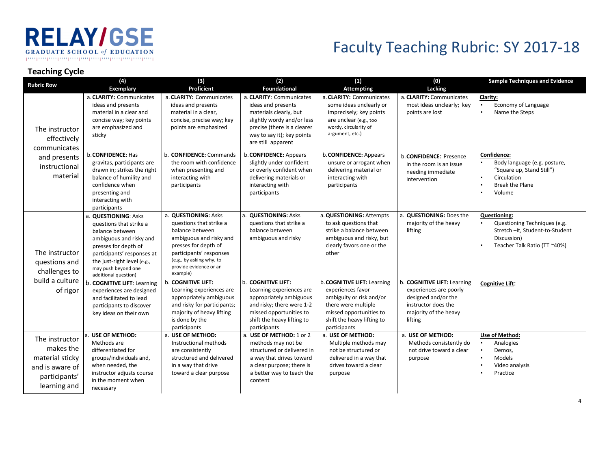### **RELAY/GSE GRADUATE SCHOOL of EDUCATION** րութարութարութարութներութարութար

### Faculty Teaching Rubric: SY 2017-18

#### **Teaching Cycle**

| <b>Rubric Row</b>                                                                                  | (4)<br>Exemplary                                                                                                                                                                                                                  | $(3)$<br>Proficient                                                                                                                                                                                                | (2)<br><b>Foundational</b>                                                                                                                                                                | (1)<br><b>Attempting</b>                                                                                                                                                     | (0)<br>Lacking                                                                                                                          | <b>Sample Techniques and Evidence</b>                                                                                                                           |
|----------------------------------------------------------------------------------------------------|-----------------------------------------------------------------------------------------------------------------------------------------------------------------------------------------------------------------------------------|--------------------------------------------------------------------------------------------------------------------------------------------------------------------------------------------------------------------|-------------------------------------------------------------------------------------------------------------------------------------------------------------------------------------------|------------------------------------------------------------------------------------------------------------------------------------------------------------------------------|-----------------------------------------------------------------------------------------------------------------------------------------|-----------------------------------------------------------------------------------------------------------------------------------------------------------------|
| The instructor<br>effectively<br>communicates                                                      | a. CLARITY: Communicates<br>ideas and presents<br>material in a clear and<br>concise way; key points<br>are emphasized and<br>sticky                                                                                              | a. CLARITY: Communicates<br>ideas and presents<br>material in a clear,<br>concise, precise way; key<br>points are emphasized                                                                                       | a. CLARITY: Communicates<br>ideas and presents<br>materials clearly, but<br>slightly wordy and/or less<br>precise (there is a clearer<br>way to say it); key points<br>are still apparent | a. CLARITY: Communicates<br>some ideas unclearly or<br>imprecisely; key points<br>are unclear (e.g., too<br>wordy, circularity of<br>argument, etc.)                         | a. CLARITY: Communicates<br>most ideas unclearly; key<br>points are lost                                                                | Clarity:<br>Economy of Language<br>Name the Steps<br>$\blacksquare$                                                                                             |
| and presents<br>instructional<br>material                                                          | b. CONFIDENCE: Has<br>gravitas, participants are<br>drawn in; strikes the right<br>balance of humility and<br>confidence when<br>presenting and<br>interacting with<br>participants                                               | b. CONFIDENCE: Commands<br>the room with confidence<br>when presenting and<br>interacting with<br>participants                                                                                                     | b. CONFIDENCE: Appears<br>slightly under confident<br>or overly confident when<br>delivering materials or<br>interacting with<br>participants                                             | b. CONFIDENCE: Appears<br>unsure or arrogant when<br>delivering material or<br>interacting with<br>participants                                                              | b. CONFIDENCE: Presence<br>in the room is an issue<br>needing immediate<br>intervention                                                 | Confidence:<br>Body language (e.g. posture,<br>"Square up, Stand Still")<br>Circulation<br>$\blacksquare$<br><b>Break the Plane</b><br>Volume<br>$\blacksquare$ |
| The instructor<br>questions and<br>challenges to                                                   | a. QUESTIONING: Asks<br>questions that strike a<br>balance between<br>ambiguous and risky and<br>presses for depth of<br>participants' responses at<br>the just-right level (e.g.,<br>may push beyond one<br>additional question) | a. QUESTIONING: Asks<br>questions that strike a<br>balance between<br>ambiguous and risky and<br>presses for depth of<br>participants' responses<br>(e.g., by asking why, to<br>provide evidence or an<br>example) | a. QUESTIONING: Asks<br>questions that strike a<br>balance between<br>ambiguous and risky                                                                                                 | a. QUESTIONING: Attempts<br>to ask questions that<br>strike a balance between<br>ambiguous and risky, but<br>clearly favors one or the<br>other                              | a. QUESTIONING: Does the<br>majority of the heavy<br>lifting                                                                            | <b>Questioning:</b><br>Questioning Techniques (e.g.<br>Stretch-It, Student-to-Student<br>Discussion)<br>Teacher Talk Ratio (TT ~40%)                            |
| build a culture<br>of rigor                                                                        | b. COGNITIVE LIFT: Learning<br>experiences are designed<br>and facilitated to lead<br>participants to discover<br>key ideas on their own                                                                                          | b. COGNITIVE LIFT:<br>Learning experiences are<br>appropriately ambiguous<br>and risky for participants;<br>majority of heavy lifting<br>is done by the<br>participants                                            | b. COGNITIVE LIFT:<br>Learning experiences are<br>appropriately ambiguous<br>and risky; there were 1-2<br>missed opportunities to<br>shift the heavy lifting to<br>participants           | b. COGNITIVE LIFT: Learning<br>experiences favor<br>ambiguity or risk and/or<br>there were multiple<br>missed opportunities to<br>shift the heavy lifting to<br>participants | b. COGNITIVE LIFT: Learning<br>experiences are poorly<br>designed and/or the<br>instructor does the<br>majority of the heavy<br>lifting | <b>Cognitive Lift:</b>                                                                                                                                          |
| The instructor<br>makes the<br>material sticky<br>and is aware of<br>participants'<br>learning and | a. USE OF METHOD:<br>Methods are<br>differentiated for<br>groups/individuals and,<br>when needed, the<br>instructor adjusts course<br>in the moment when<br>necessary                                                             | a. USE OF METHOD:<br>Instructional methods<br>are consistently<br>structured and delivered<br>in a way that drive<br>toward a clear purpose                                                                        | a. USE OF METHOD: 1 or 2<br>methods may not be<br>structured or delivered in<br>a way that drives toward<br>a clear purpose; there is<br>a better way to teach the<br>content             | a. USE OF METHOD:<br>Multiple methods may<br>not be structured or<br>delivered in a way that<br>drives toward a clear<br>purpose                                             | a. USE OF METHOD:<br>Methods consistently do<br>not drive toward a clear<br>purpose                                                     | Use of Method:<br>Analogies<br>Demos,<br>Models<br>$\blacksquare$<br>Video analysis<br>$\blacksquare$<br>Practice<br>$\blacksquare$                             |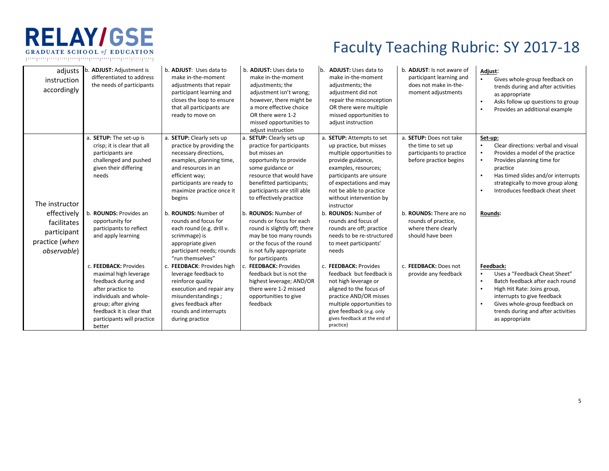

## Faculty Teaching Rubric: SY 2017-18

| adjusts<br>instruction<br>accordingly                                              | b. ADJUST: Adjustment is<br>differentiated to address<br>the needs of participants                                                                                                                               | b. <b>ADJUST:</b> Uses data to<br>make in-the-moment<br>adjustments that repair<br>participant learning and<br>closes the loop to ensure<br>that all participants are<br>ready to move on                                | b. ADJUST: Uses data to<br>make in-the-moment<br>adjustments; the<br>adjustment isn't wrong;<br>however, there might be<br>a more effective choice<br>OR there were 1-2<br>missed opportunities to<br>adjust instruction                | b. <b>ADJUST:</b> Uses data to<br>make in-the-moment<br>adjustments; the<br>adjustment did not<br>repair the misconception<br>OR there were multiple<br>missed opportunities to<br>adjust instruction                                                    | b. ADJUST: Is not aware of<br>participant learning and<br>does not make in-the-<br>moment adjustments | Adjust:<br>$\blacksquare$<br>Gives whole-group feedback on<br>trends during and after activities<br>as appropriate<br>Asks follow up questions to group<br>Provides an additional example                                                                                                        |
|------------------------------------------------------------------------------------|------------------------------------------------------------------------------------------------------------------------------------------------------------------------------------------------------------------|--------------------------------------------------------------------------------------------------------------------------------------------------------------------------------------------------------------------------|-----------------------------------------------------------------------------------------------------------------------------------------------------------------------------------------------------------------------------------------|----------------------------------------------------------------------------------------------------------------------------------------------------------------------------------------------------------------------------------------------------------|-------------------------------------------------------------------------------------------------------|--------------------------------------------------------------------------------------------------------------------------------------------------------------------------------------------------------------------------------------------------------------------------------------------------|
| The instructor                                                                     | a. SETUP: The set-up is<br>crisp; it is clear that all<br>participants are<br>challenged and pushed<br>given their differing<br>needs                                                                            | a. SETUP: Clearly sets up<br>practice by providing the<br>necessary directions,<br>examples, planning time,<br>and resources in an<br>efficient way;<br>participants are ready to<br>maximize practice once it<br>begins | a. SETUP: Clearly sets up<br>practice for participants<br>but misses an<br>opportunity to provide<br>some guidance or<br>resource that would have<br>benefitted participants;<br>participants are still able<br>to effectively practice | a. SETUP: Attempts to set<br>up practice, but misses<br>multiple opportunities to<br>provide guidance,<br>examples, resources;<br>participants are unsure<br>of expectations and may<br>not be able to practice<br>without intervention by<br>instructor | a. SETUP: Does not take<br>the time to set up<br>participants to practice<br>before practice begins   | Set-up:<br>Clear directions: verbal and visual<br>$\blacksquare$<br>Provides a model of the practice<br>$\blacksquare$<br>Provides planning time for<br>$\blacksquare$<br>practice<br>Has timed slides and/or interrupts<br>strategically to move group along<br>Introduces feedback cheat sheet |
| effectively<br>facilitates<br>participant<br>practice (when<br><i>observable</i> ) | <b>ROUNDS: Provides an</b><br>opportunity for<br>participants to reflect<br>and apply learning                                                                                                                   | b. ROUNDS: Number of<br>rounds and focus for<br>each round (e.g. drill v.<br>scrimmage) is<br>appropriate given<br>participant needs; rounds<br>"run themselves"                                                         | b. ROUNDS: Number of<br>rounds or focus for each<br>round is slightly off; there<br>may be too many rounds<br>or the focus of the round<br>is not fully appropriate<br>for participants                                                 | b. ROUNDS: Number of<br>rounds and focus of<br>rounds are off; practice<br>needs to be re-structured<br>to meet participants'<br>needs                                                                                                                   | b. <b>ROUNDS:</b> There are no<br>rounds of practice,<br>where there clearly<br>should have been      | <b>Rounds:</b>                                                                                                                                                                                                                                                                                   |
|                                                                                    | c. FEEDBACK: Provides<br>maximal high leverage<br>feedback during and<br>after practice to<br>individuals and whole-<br>group; after giving<br>feedback it is clear that<br>participants will practice<br>better | c. FEEDBACK: Provides high<br>leverage feedback to<br>reinforce quality<br>execution and repair any<br>misunderstandings;<br>gives feedback after<br>rounds and interrupts<br>during practice                            | c. FEEDBACK: Provides<br>feedback but is not the<br>highest leverage; AND/OR<br>there were 1-2 missed<br>opportunities to give<br>feedback                                                                                              | c. FEEDBACK: Provides<br>feedback but feedback is<br>not high leverage or<br>aligned to the focus of<br>practice AND/OR misses<br>multiple opportunities to<br>give feedback (e.g. only<br>gives feedback at the end of<br>practice)                     | c. FEEDBACK: Does not<br>provide any feedback                                                         | Feedback:<br>Uses a "Feedback Cheat Sheet"<br>٠.<br>Batch feedback after each round<br>$\blacksquare$<br>High Hit Rate: Joins group,<br>interrupts to give feedback<br>Gives whole-group feedback on<br>trends during and after activities<br>as appropriate                                     |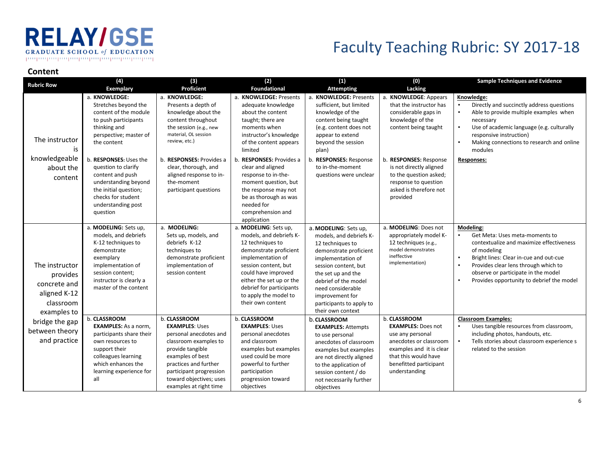### **RELAY/GSE GRADUATE SCHOOL of EDUCATION** րարարարարարարարարարարարարար

## Faculty Teaching Rubric: SY 2017-18

#### **Content**

| <b>Rubric Row</b>                                                                      | (4)<br><b>Exemplary</b>                                                                                                                                                                                                                                                                                                                                | (3)<br>Proficient                                                                                                                                                                                                                                                                          | (2)<br><b>Foundational</b>                                                                                                                                                                                                                                                                                                                                                                        | (1)<br><b>Attempting</b>                                                                                                                                                                                                                                                    | (0)<br>Lacking                                                                                                                                                                                                                                                                             | <b>Sample Techniques and Evidence</b>                                                                                                                                                                                                                                                              |
|----------------------------------------------------------------------------------------|--------------------------------------------------------------------------------------------------------------------------------------------------------------------------------------------------------------------------------------------------------------------------------------------------------------------------------------------------------|--------------------------------------------------------------------------------------------------------------------------------------------------------------------------------------------------------------------------------------------------------------------------------------------|---------------------------------------------------------------------------------------------------------------------------------------------------------------------------------------------------------------------------------------------------------------------------------------------------------------------------------------------------------------------------------------------------|-----------------------------------------------------------------------------------------------------------------------------------------------------------------------------------------------------------------------------------------------------------------------------|--------------------------------------------------------------------------------------------------------------------------------------------------------------------------------------------------------------------------------------------------------------------------------------------|----------------------------------------------------------------------------------------------------------------------------------------------------------------------------------------------------------------------------------------------------------------------------------------------------|
| The instructor<br>is<br>knowledgeable<br>about the<br>content                          | a. KNOWLEDGE:<br>Stretches beyond the<br>content of the module<br>to push participants<br>thinking and<br>perspective; master of<br>the content<br>b. RESPONSES: Uses the<br>question to clarify<br>content and push<br>understanding beyond<br>the initial question;<br>checks for student<br>understanding post<br>question<br>a. MODELING: Sets up, | a. KNOWLEDGE:<br>Presents a depth of<br>knowledge about the<br>content throughout<br>the session (e.g., new<br>material, OL session<br>review, etc.)<br>b. RESPONSES: Provides a<br>clear, thorough, and<br>aligned response to in-<br>the-moment<br>participant questions<br>a. MODELING: | a. KNOWLEDGE: Presents<br>adequate knowledge<br>about the content<br>taught; there are<br>moments when<br>instructor's knowledge<br>of the content appears<br>limited<br>b. RESPONSES: Provides a<br>clear and aligned<br>response to in-the-<br>moment question, but<br>the response may not<br>be as thorough as was<br>needed for<br>comprehension and<br>application<br>a. MODELING: Sets up, | a. KNOWLEDGE: Presents<br>sufficient, but limited<br>knowledge of the<br>content being taught<br>(e.g. content does not<br>appear to extend<br>beyond the session<br>plan)<br>b. RESPONSES: Response<br>to in-the-moment<br>questions were unclear<br>a. MODELING: Sets up, | a. KNOWLEDGE: Appears<br>that the instructor has<br>considerable gaps in<br>knowledge of the<br>content being taught<br>b. RESPONSES: Response<br>is not directly aligned<br>to the question asked;<br>response to question<br>asked is therefore not<br>provided<br>a. MODELING: Does not | Knowledge:<br>Directly and succinctly address questions<br>Able to provide multiple examples when<br>$\blacksquare$<br>necessary<br>Use of academic language (e.g. culturally<br>responsive instruction)<br>Making connections to research and online<br>modules<br><b>Responses:</b><br>Modeling: |
| The instructor<br>provides<br>concrete and<br>aligned K-12<br>classroom<br>examples to | models, and debriefs<br>K-12 techniques to<br>demonstrate<br>exemplary<br>implementation of<br>session content;<br>instructor is clearly a<br>master of the content                                                                                                                                                                                    | Sets up, models, and<br>debriefs K-12<br>techniques to<br>demonstrate proficient<br>implementation of<br>session content                                                                                                                                                                   | models, and debriefs K-<br>12 techniques to<br>demonstrate proficient<br>implementation of<br>session content, but<br>could have improved<br>either the set up or the<br>debrief for participants<br>to apply the model to<br>their own content                                                                                                                                                   | models, and debriefs K-<br>12 techniques to<br>demonstrate proficient<br>implementation of<br>session content, but<br>the set up and the<br>debrief of the model<br>need considerable<br>improvement for<br>participants to apply to<br>their own context                   | appropriately model K-<br>12 techniques (e.g.,<br>model demonstrates<br>ineffective<br>implementation)                                                                                                                                                                                     | Get Meta: Uses meta-moments to<br>$\blacksquare$<br>contextualize and maximize effectiveness<br>of modeling<br>Bright lines: Clear in-cue and out-cue<br>Provides clear lens through which to<br>observe or participate in the model<br>Provides opportunity to debrief the model                  |
| bridge the gap<br>between theory<br>and practice                                       | b. CLASSROOM<br><b>EXAMPLES:</b> As a norm,<br>participants share their<br>own resources to<br>support their<br>colleagues learning<br>which enhances the<br>learning experience for<br>all                                                                                                                                                            | b. CLASSROOM<br><b>EXAMPLES: Uses</b><br>personal anecdotes and<br>classroom examples to<br>provide tangible<br>examples of best<br>practices and further<br>participant progression<br>toward objectives; uses<br>examples at right time                                                  | b. CLASSROOM<br><b>EXAMPLES: Uses</b><br>personal anecdotes<br>and classroom<br>examples but examples<br>used could be more<br>powerful to further<br>participation<br>progression toward<br>objectives                                                                                                                                                                                           | b. CLASSROOM<br><b>EXAMPLES: Attempts</b><br>to use personal<br>anecdotes of classroom<br>examples but examples<br>are not directly aligned<br>to the application of<br>session content / do<br>not necessarily further<br>objectives                                       | b. CLASSROOM<br><b>EXAMPLES: Does not</b><br>use any personal<br>anecdotes or classroom<br>examples and it is clear<br>that this would have<br>benefitted participant<br>understanding                                                                                                     | <b>Classroom Examples:</b><br>Uses tangible resources from classroom,<br>$\blacksquare$<br>including photos, handouts, etc.<br>Tells stories about classroom experience s<br>related to the session                                                                                                |